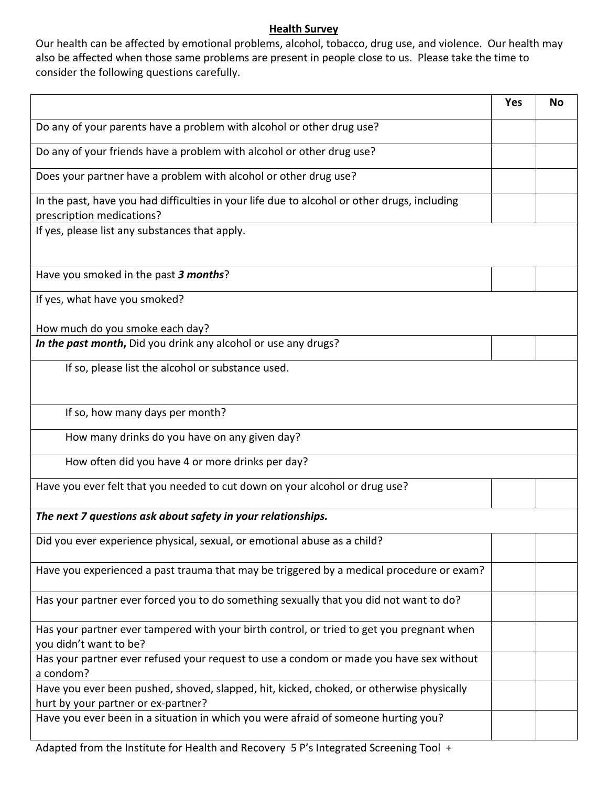## **Health Survey**

Our health can be affected by emotional problems, alcohol, tobacco, drug use, and violence. Our health may also be affected when those same problems are present in people close to us. Please take the time to consider the following questions carefully.

|                                                                                                                                 | Yes | No |  |
|---------------------------------------------------------------------------------------------------------------------------------|-----|----|--|
| Do any of your parents have a problem with alcohol or other drug use?                                                           |     |    |  |
| Do any of your friends have a problem with alcohol or other drug use?                                                           |     |    |  |
| Does your partner have a problem with alcohol or other drug use?                                                                |     |    |  |
| In the past, have you had difficulties in your life due to alcohol or other drugs, including<br>prescription medications?       |     |    |  |
| If yes, please list any substances that apply.                                                                                  |     |    |  |
| Have you smoked in the past 3 months?                                                                                           |     |    |  |
| If yes, what have you smoked?                                                                                                   |     |    |  |
| How much do you smoke each day?                                                                                                 |     |    |  |
| In the past month, Did you drink any alcohol or use any drugs?                                                                  |     |    |  |
| If so, please list the alcohol or substance used.                                                                               |     |    |  |
| If so, how many days per month?                                                                                                 |     |    |  |
| How many drinks do you have on any given day?                                                                                   |     |    |  |
| How often did you have 4 or more drinks per day?                                                                                |     |    |  |
| Have you ever felt that you needed to cut down on your alcohol or drug use?                                                     |     |    |  |
| The next 7 questions ask about safety in your relationships.                                                                    |     |    |  |
| Did you ever experience physical, sexual, or emotional abuse as a child?                                                        |     |    |  |
| Have you experienced a past trauma that may be triggered by a medical procedure or exam?                                        |     |    |  |
| Has your partner ever forced you to do something sexually that you did not want to do?                                          |     |    |  |
| Has your partner ever tampered with your birth control, or tried to get you pregnant when<br>you didn't want to be?             |     |    |  |
| Has your partner ever refused your request to use a condom or made you have sex without<br>a condom?                            |     |    |  |
| Have you ever been pushed, shoved, slapped, hit, kicked, choked, or otherwise physically<br>hurt by your partner or ex-partner? |     |    |  |
| Have you ever been in a situation in which you were afraid of someone hurting you?                                              |     |    |  |

Adapted from the Institute for Health and Recovery 5 P's Integrated Screening Tool +